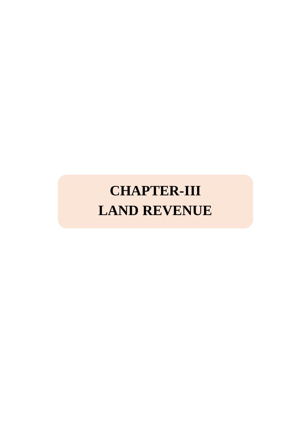# **CHAPTER-III LAND REVENUE**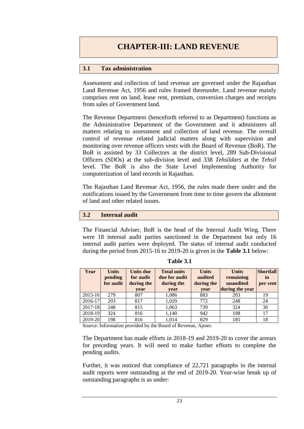## **3.1 Tax administration**

Assessment and collection of land revenue are governed under the Rajasthan Land Revenue Act, 1956 and rules framed thereunder. Land revenue mainly comprises rent on land, lease rent, premium, conversion charges and receipts from sales of Government land.

The Revenue Department (henceforth referred to as Department) functions as the Administrative Department of the Government and it administers all matters relating to assessment and collection of land revenue. The overall control of revenue related judicial matters along with supervision and monitoring over revenue officers vests with the Board of Revenue (BoR). The BoR is assisted by 33 Collectors at the district level, 289 Sub-Divisional Officers (SDOs) at the sub-division level and 338 *Tehsildars* at the *Tehsil* level. The BoR is also the State Level Implementing Authority for computerization of land records in Rajasthan.

The Rajasthan Land Revenue Act, 1956, the rules made there under and the notifications issued by the Government from time to time govern the allotment of land and other related issues.

## **3.2 Internal audit**

The Financial Adviser, BoR is the head of the Internal Audit Wing. There were 18 internal audit parties sanctioned in the Department but only 16 internal audit parties were deployed. The status of internal audit conducted during the period from 2015-16 to 2019-20 is given in the **Table 3.1** below:

| Year        | <b>Units</b><br>pending<br>for audit | Units due<br>for audit<br>during the<br>year | <b>Total units</b><br>due for audit<br>during the<br>year | <b>Units</b><br>audited<br>during the<br>year | <b>Units</b><br>remaining<br>unaudited<br>during the year | <b>Shortfall</b><br>in<br>per cent |
|-------------|--------------------------------------|----------------------------------------------|-----------------------------------------------------------|-----------------------------------------------|-----------------------------------------------------------|------------------------------------|
| $2015 - 16$ | 279                                  | 807                                          | 1,086                                                     | 883                                           | 203                                                       | 19                                 |
| $2016 - 17$ | 203                                  | 817                                          | 1,020                                                     | 772                                           | 248                                                       | 24                                 |
| $2017 - 18$ | 248                                  | 815                                          | 1,063                                                     | 739                                           | 324                                                       | 30                                 |
| 2018-19     | 324                                  | 816                                          | 1,140                                                     | 942                                           | 198                                                       | 17                                 |
| 2019-20     | 198                                  | 816                                          | 1,014                                                     | 829                                           | 185                                                       | 18                                 |

**Table 3.1**

Source: Information provided by the Board of Revenue, Ajmer.

The Department has made efforts in 2018-19 and 2019-20 to cover the arrears for preceding years. It will need to make further efforts to complete the pending audits.

Further, it was noticed that compliance of 22,721 paragraphs in the internal audit reports were outstanding at the end of 2019-20. Year-wise break up of outstanding paragraphs is as under: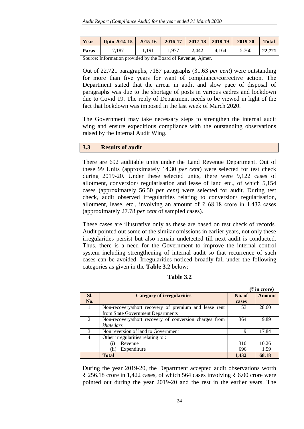| Year  | Upto 2014-15   2015-16   2016-17   2017-18   2018-19 |       |       |       |       | 2019-20 | <b>Total</b> |
|-------|------------------------------------------------------|-------|-------|-------|-------|---------|--------------|
| Paras | 7.187                                                | 1.191 | 1.977 | 2.442 | 4.164 | 5,760   | 22,721       |

Source: Information provided by the Board of Revenue, Ajmer.

Out of 22,721 paragraphs, 7187 paragraphs (31.63 *per cent*) were outstanding for more than five years for want of compliance/corrective action. The Department stated that the arrear in audit and slow pace of disposal of paragraphs was due to the shortage of posts in various cadres and lockdown due to Covid 19. The reply of Department needs to be viewed in light of the fact that lockdown was imposed in the last week of March 2020.

The Government may take necessary steps to strengthen the internal audit wing and ensure expeditious compliance with the outstanding observations raised by the Internal Audit Wing.

### **3.3 Results of audit**

There are 692 auditable units under the Land Revenue Department. Out of these 99 Units (approximately 14.30 *per cent*) were selected for test check during 2019-20. Under these selected units, there were 9,122 cases of allotment, conversion/ regularisation and lease of land etc., of which 5,154 cases (approximately 56.50 *per cent*) were selected for audit. During test check, audit observed irregularities relating to conversion/ regularisation, allotment, lease, etc., involving an amount of  $\bar{\tau}$  68.18 crore in 1,432 cases (approximately 27.78 *per cent* of sampled cases).

These cases are illustrative only as these are based on test check of records. Audit pointed out some of the similar omissions in earlier years, not only these irregularities persist but also remain undetected till next audit is conducted. Thus, there is a need for the Government to improve the internal control system including strengthening of internal audit so that recurrence of such cases can be avoided. Irregularities noticed broadly fall under the following categories as given in the **Table 3.2** below:

## **Table 3.2**

|     |                                                        | (₹ in crore) |               |  |
|-----|--------------------------------------------------------|--------------|---------------|--|
| Sl. | <b>Category of irregularities</b>                      | No. of       | <b>Amount</b> |  |
| No. |                                                        | cases        |               |  |
| 1.  | Non-recovery/short recovery of premium and lease rent  | 53           | 28.60         |  |
|     | from State Government Departments                      |              |               |  |
| 2.  | Non-recovery/short recovery of conversion charges from | 364          | 9.89          |  |
|     | khatedars                                              |              |               |  |
| 3.  | Non reversion of land to Government                    | 9            | 17.84         |  |
| 4.  | Other irregularities relating to:                      |              |               |  |
|     | Revenue<br>(1)                                         | 310          | 10.26         |  |
|     | Expenditure<br>(i)                                     | 696          | 1.59          |  |
|     | <b>Total</b>                                           | 1.432        | 68.18         |  |

During the year 2019-20, the Department accepted audit observations worth ₹ 256.18 crore in 1,422 cases, of which 564 cases involving ₹ 6.00 crore were pointed out during the year 2019-20 and the rest in the earlier years. The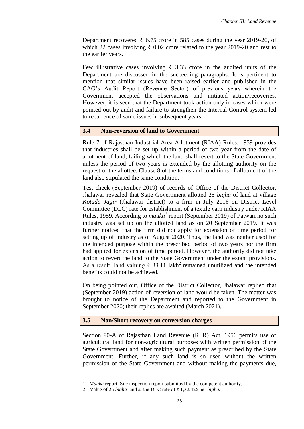Department recovered ₹ 6.75 crore in 585 cases during the year 2019-20, of which 22 cases involving  $\bar{\tau}$  0.02 crore related to the year 2019-20 and rest to the earlier years.

Few illustrative cases involving ₹ 3.33 crore in the audited units of the Department are discussed in the succeeding paragraphs. It is pertinent to mention that similar issues have been raised earlier and published in the CAG's Audit Report (Revenue Sector) of previous years wherein the Government accepted the observations and initiated action/recoveries. However, it is seen that the Department took action only in cases which were pointed out by audit and failure to strengthen the Internal Control system led to recurrence of same issues in subsequent years.

### **3.4 Non-reversion of land to Government**

Rule 7 of Rajasthan Industrial Area Allotment (RIAA) Rules, 1959 provides that industries shall be set up within a period of two year from the date of allotment of land, failing which the land shall revert to the State Government unless the period of two years is extended by the allotting authority on the request of the allottee. Clause 8 of the terms and conditions of allotment of the land also stipulated the same condition.

Test check (September 2019) of records of Office of the District Collector, Jhalawar revealed that State Government allotted 25 *bigha* of land at village *Kotada Jagir* (Jhalawar district) to a firm in July 2016 on District Level Committee (DLC) rate for establishment of a textile yarn industry under RIAA Rules, 1959. According to *mauka<sup>1</sup>* report (September 2019) of Patwari no such industry was set up on the allotted land as on 20 September 2019. It was further noticed that the firm did not apply for extension of time period for setting up of industry as of August 2020. Thus, the land was neither used for the intended purpose within the prescribed period of two years nor the firm had applied for extension of time period. However, the authority did not take action to revert the land to the State Government under the extant provisions. As a result, land valuing  $\bar{\tau}$  33.11 lakh<sup>2</sup> remained unutilized and the intended benefits could not be achieved.

On being pointed out, Office of the District Collector, Jhalawar replied that (September 2019) action of reversion of land would be taken. The matter was brought to notice of the Department and reported to the Government in September 2020; their replies are awaited (March 2021).

### **3.5 Non/Short recovery on conversion charges**

Section 90-A of Rajasthan Land Revenue (RLR) Act, 1956 permits use of agricultural land for non-agricultural purposes with written permission of the State Government and after making such payment as prescribed by the State Government. Further, if any such land is so used without the written permission of the State Government and without making the payments due,

1

<sup>1</sup> *Mauka* report: Site inspection report submitted by the competent authority.

<sup>2</sup> Value of 25 *bigha* land at the DLC rate of ₹ 1,32,426 per *bigha.*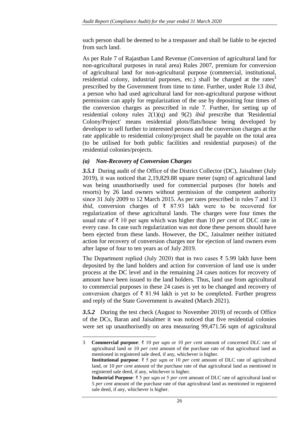such person shall be deemed to be a trespasser and shall be liable to be ejected from such land.

As per Rule 7 of Rajasthan Land Revenue (Conversion of agricultural land for non-agricultural purposes in rural area) Rules 2007, premium for conversion of agricultural land for non-agricultural purpose (commercial, institutional, residential colony, industrial purposes, etc.) shall be charged at the rates<sup>3</sup> prescribed by the Government from time to time. Further, under Rule 13 *ibid*, a person who had used agricultural land for non-agricultural purpose without permission can apply for regularization of the use by depositing four times of the conversion charges as prescribed in rule 7. Further, for setting up of residential colony rules 2(1)(q) and 9(2) *ibid* prescribe that 'Residential Colony/Project' means residential plots/flats/house being developed by developer to sell further to interested persons and the conversion charges at the rate applicable to residential colony/project shall be payable on the total area (to be utilised for both public facilities and residential purposes) of the residential colonies/projects.

# *(a) Non-Recovery of Conversion Charges*

1

*3.5.1* During audit of the Office of the District Collector (DC), Jaisalmer (July 2019), it was noticed that 2,19,829.88 square meter (sqm) of agricultural land was being unauthorisedly used for commercial purposes (for hotels and resorts) by 26 land owners without permission of the competent authority since 31 July 2009 to 12 March 2015. As per rates prescribed in rules 7 and 13 *ibid*, conversion charges of ₹ 87.93 lakh were to be recovered for regularization of these agricultural lands. The charges were four times the usual rate of ₹ 10 per sqm which was higher than 10 *per cent* of DLC rate in every case. In case such regularization was not done these persons should have been ejected from these lands. However, the DC, Jaisalmer neither initiated action for recovery of conversion charges nor for ejection of land owners even after lapse of four to ten years as of July 2019.

The Department replied (July 2020) that in two cases ₹ 5.99 lakh have been deposited by the land holders and action for conversion of land use is under process at the DC level and in the remaining 24 cases notices for recovery of amount have been issued to the land holders. Thus, land use from agricultural to commercial purposes in these 24 cases is yet to be changed and recovery of conversion charges of  $\bar{\tau}$  81.94 lakh is yet to be completed. Further progress and reply of the State Government is awaited (March 2021).

*3.5.2* During the test check (August to November 2019) of records of Office of the DCs, Baran and Jaisalmer it was noticed that five residential colonies were set up unauthorisedly on area measuring 99,471.56 sqm of agricultural

<sup>3</sup> **Commercial purpose**: ₹ 10 per sqm or 10 *per cent* amount of concerned DLC rate of agricultural land or 10 *per cent* amount of the purchase rate of that agricultural land as mentioned in registered sale deed, if any, whichever is higher.  **Institutional purpose**: ₹ 5 per sqm or 10 *per cent* amount of DLC rate of agricultural

land, or 10 *per cent* amount of the purchase rate of that agricultural land as mentioned in registered sale deed, if any, whichever is higher.

**Industrial Purpose**: ₹ 5 per sqm or 5 *per cent* amount of DLC rate of agricultural land or 5 *per cent* amount of the purchase rate of that agricultural land as mentioned in registered sale deed, if any, whichever is higher.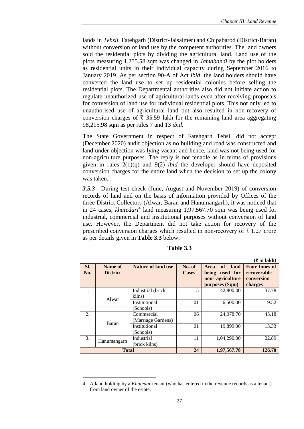lands in *Tehsil*, Fatehgarh (District-Jaisalmer) and Chipabarod (District-Baran) without conversion of land use by the competent authorities. The land owners sold the residential plots by dividing the agricultural land. Land use of the plots measuring 1,255.58 sqm was changed in *Jamabandi* by the plot holders as residential units in their individual capacity during September 2016 to January 2019. As per section 90-A of Act *ibid*, the land holders should have converted the land use to set up residential colonies before selling the residential plots. The Departmental authorities also did not initiate action to regulate unauthorized use of agricultural lands even after receiving proposals for conversion of land use for individual residential plots. This not only led to unauthorised use of agricultural land but also resulted in non-recovery of conversion charges of  $\bar{\tau}$  35.59 lakh for the remaining land area aggregating 98,215.98 sqm as per rules 7 and 13 *ibid*.

The State Government in respect of Fatehgarh Tehsil did not accept (December 2020) audit objection as no building and road was constructed and land under objection was lying vacant and hence, land was not being used for non-agriculture purposes. The reply is not tenable as in terms of provisions given in rules 2(1)(q) and 9(2) *ibid* the developer should have deposited conversion charges for the entire land when the decision to set up the colony was taken.

*3.5.3* During test check (June, August and November 2019) of conversion records of land and on the basis of information provided by Offices of the three District Collectors (Alwar, Baran and Hanumangarh), it was noticed that in 24 cases, *khatedari<sup>4</sup>* land measuring 1,97,567.70 sqm was being used for industrial, commercial and institutional purposes without conversion of land use. However, the Department did not take action for recovery of the prescribed conversion charges which resulted in non-recovery of ₹ 1.27 crore as per details given in **Table 3.3** below:

|                |                            |                                  |                        | $(\bar{\tau}$ in lakh)                                                              |                                                       |
|----------------|----------------------------|----------------------------------|------------------------|-------------------------------------------------------------------------------------|-------------------------------------------------------|
| Sl.<br>No.     | Name of<br><b>District</b> | <b>Nature of land use</b>        | No. of<br><b>Cases</b> | of<br>land<br><b>Area</b><br>used for<br>being<br>non-agriculture<br>purposes (Sqm) | Four times of<br>recoverable<br>conversion<br>charges |
| $\mathbf{1}$ . | Alwar                      | Industrial (brick)<br>kilns)     | 5                      | 42,800.00                                                                           | 37.78                                                 |
|                |                            | Institutional<br>(Schools)       | 01                     | 6,500.00                                                                            | 9.52                                                  |
| 2.             | Baran                      | Commercial<br>(Marriage Gardens) | 06                     | 24,078.70                                                                           | 43.18                                                 |
|                |                            | Institutional<br>(Schools)       | 01                     | 19,899.00                                                                           | 13.33                                                 |
| 3.             | Hanumangarh                | Industrial<br>(brick kilns)      | 11                     | 1,04,290.00                                                                         | 22.89                                                 |
|                | <b>Total</b>               |                                  |                        | 1,97,567.70                                                                         | 126.70                                                |

| Table 3.3 |  |
|-----------|--|
|-----------|--|

1

<sup>4</sup> A land holding by a *Khatedar* tenant (who has entered in the revenue records as a tenant) from land owner of the estate.